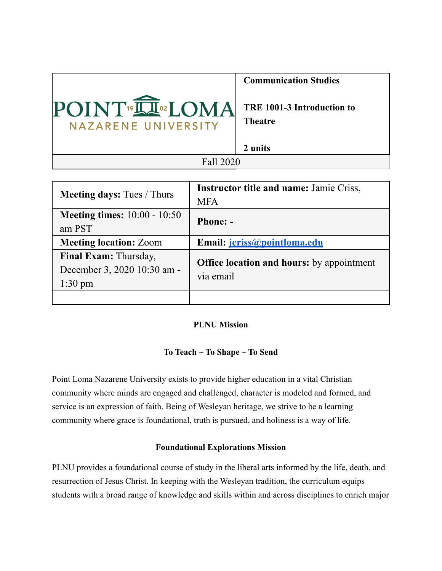

| <b>Meeting days:</b> Tues / Thurs                                 | <b>Instructor title and name: Jamie Criss,</b><br><b>MFA</b>  |
|-------------------------------------------------------------------|---------------------------------------------------------------|
| <b>Meeting times:</b> $10:00 - 10:50$<br>am PST                   | <b>Phone: -</b>                                               |
| <b>Meeting location: Zoom</b>                                     | Email: <i>jcriss@pointloma.edu</i>                            |
| Final Exam: Thursday,<br>December 3, 2020 10:30 am -<br>$1:30$ pm | <b>Office location and hours:</b> by appointment<br>via email |
|                                                                   |                                                               |

# **PLNU Mission**

# **To Teach ~ To Shape ~ To Send**

Point Loma Nazarene University exists to provide higher education in a vital Christian community where minds are engaged and challenged, character is modeled and formed, and service is an expression of faith. Being of Wesleyan heritage, we strive to be a learning community where grace is foundational, truth is pursued, and holiness is a way of life.

### **Foundational Explorations Mission**

PLNU provides a foundational course of study in the liberal arts informed by the life, death, and resurrection of Jesus Christ. In keeping with the Wesleyan tradition, the curriculum equips students with a broad range of knowledge and skills within and across disciplines to enrich major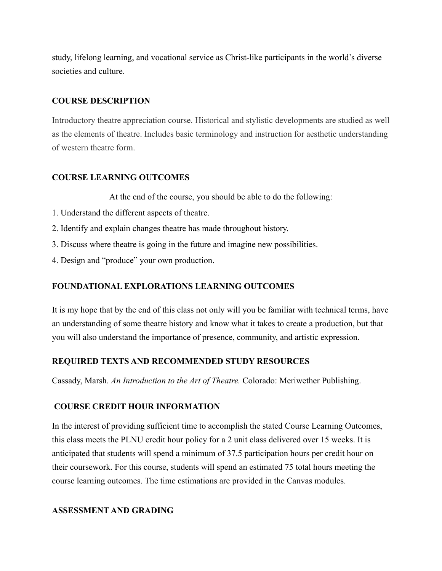study, lifelong learning, and vocational service as Christ-like participants in the world's diverse societies and culture.

## **COURSE DESCRIPTION**

Introductory theatre appreciation course. Historical and stylistic developments are studied as well as the elements of theatre. Includes basic terminology and instruction for aesthetic understanding of western theatre form.

# **COURSE LEARNING OUTCOMES**

At the end of the course, you should be able to do the following:

- 1. Understand the different aspects of theatre.
- 2. Identify and explain changes theatre has made throughout history.
- 3. Discuss where theatre is going in the future and imagine new possibilities.
- 4. Design and "produce" your own production.

# **FOUNDATIONAL EXPLORATIONS LEARNING OUTCOMES**

It is my hope that by the end of this class not only will you be familiar with technical terms, have an understanding of some theatre history and know what it takes to create a production, but that you will also understand the importance of presence, community, and artistic expression.

# **REQUIRED TEXTS AND RECOMMENDED STUDY RESOURCES**

Cassady, Marsh. *An Introduction to the Art of Theatre.* Colorado: Meriwether Publishing.

# **COURSE CREDIT HOUR INFORMATION**

In the interest of providing sufficient time to accomplish the stated Course Learning Outcomes, this class meets the PLNU credit hour policy for a 2 unit class delivered over 15 weeks. It is anticipated that students will spend a minimum of 37.5 participation hours per credit hour on their coursework. For this course, students will spend an estimated 75 total hours meeting the course learning outcomes. The time estimations are provided in the Canvas modules.

# **ASSESSMENT AND GRADING**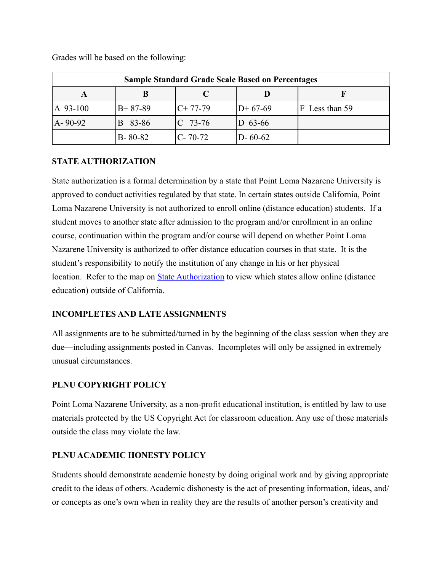| <b>Sample Standard Grade Scale Based on Percentages</b> |               |             |               |                |  |
|---------------------------------------------------------|---------------|-------------|---------------|----------------|--|
|                                                         |               |             |               |                |  |
| A 93-100                                                | $B + 87 - 89$ | $C+77-79$   | $D+67-69$     | F Less than 59 |  |
| $A - 90 - 92$                                           | 83-86         | $C$ 73-76   | $D$ 63-66     |                |  |
|                                                         | $B - 80 - 82$ | $ C-70-72 $ | $D - 60 - 62$ |                |  |

Grades will be based on the following:

# **STATE AUTHORIZATION**

State authorization is a formal determination by a state that Point Loma Nazarene University is approved to conduct activities regulated by that state. In certain states outside California, Point Loma Nazarene University is not authorized to enroll online (distance education) students. If a student moves to another state after admission to the program and/or enrollment in an online course, continuation within the program and/or course will depend on whether Point Loma Nazarene University is authorized to offer distance education courses in that state. It is the student's responsibility to notify the institution of any change in his or her physical location. Refer to the map on **State Authorization** to view which states allow online (distance education) outside of California.

# **INCOMPLETES AND LATE ASSIGNMENTS**

All assignments are to be submitted/turned in by the beginning of the class session when they are due—including assignments posted in Canvas. Incompletes will only be assigned in extremely unusual circumstances.

# **PLNU COPYRIGHT POLICY**

Point Loma Nazarene University, as a non-profit educational institution, is entitled by law to use materials protected by the US Copyright Act for classroom education. Any use of those materials outside the class may violate the law.

### **PLNU ACADEMIC HONESTY POLICY**

Students should demonstrate academic honesty by doing original work and by giving appropriate credit to the ideas of others. Academic dishonesty is the act of presenting information, ideas, and/ or concepts as one's own when in reality they are the results of another person's creativity and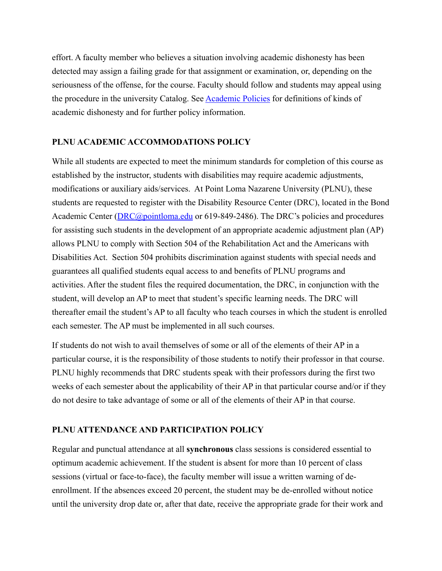effort. A faculty member who believes a situation involving academic dishonesty has been detected may assign a failing grade for that assignment or examination, or, depending on the seriousness of the offense, for the course. Faculty should follow and students may appeal using the procedure in the university Catalog. See [Academic Policies](https://catalog.pointloma.edu/content.php?catoid=41&navoid=2435#Academic_Honesty) for definitions of kinds of academic dishonesty and for further policy information.

# **PLNU ACADEMIC ACCOMMODATIONS POLICY**

While all students are expected to meet the minimum standards for completion of this course as established by the instructor, students with disabilities may require academic adjustments, modifications or auxiliary aids/services. At Point Loma Nazarene University (PLNU), these students are requested to register with the Disability Resource Center (DRC), located in the Bond Academic Center ([DRC@pointloma.edu](mailto:DRC@pointloma.edu) or 619-849-2486). The DRC's policies and procedures for assisting such students in the development of an appropriate academic adjustment plan (AP) allows PLNU to comply with Section 504 of the Rehabilitation Act and the Americans with Disabilities Act. Section 504 prohibits discrimination against students with special needs and guarantees all qualified students equal access to and benefits of PLNU programs and activities. After the student files the required documentation, the DRC, in conjunction with the student, will develop an AP to meet that student's specific learning needs. The DRC will thereafter email the student's AP to all faculty who teach courses in which the student is enrolled each semester. The AP must be implemented in all such courses.

If students do not wish to avail themselves of some or all of the elements of their AP in a particular course, it is the responsibility of those students to notify their professor in that course. PLNU highly recommends that DRC students speak with their professors during the first two weeks of each semester about the applicability of their AP in that particular course and/or if they do not desire to take advantage of some or all of the elements of their AP in that course.

# **PLNU ATTENDANCE AND PARTICIPATION POLICY**

Regular and punctual attendance at all **synchronous** class sessions is considered essential to optimum academic achievement. If the student is absent for more than 10 percent of class sessions (virtual or face-to-face), the faculty member will issue a written warning of deenrollment. If the absences exceed 20 percent, the student may be de-enrolled without notice until the university drop date or, after that date, receive the appropriate grade for their work and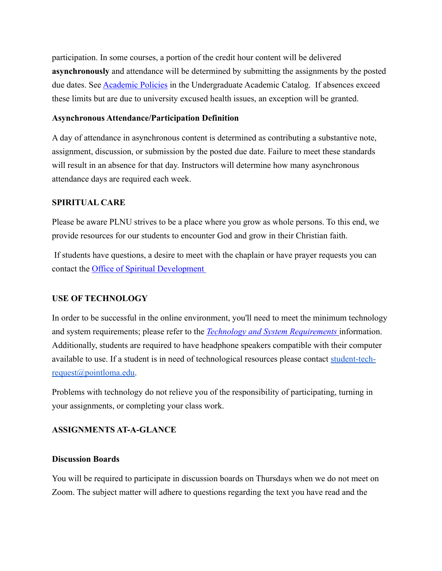participation. In some courses, a portion of the credit hour content will be delivered **asynchronously** and attendance will be determined by submitting the assignments by the posted due dates. See **Academic Policies** in the Undergraduate Academic Catalog. If absences exceed these limits but are due to university excused health issues, an exception will be granted.

### **Asynchronous Attendance/Participation Definition**

A day of attendance in asynchronous content is determined as contributing a substantive note, assignment, discussion, or submission by the posted due date. Failure to meet these standards will result in an absence for that day. Instructors will determine how many asynchronous attendance days are required each week.

# **SPIRITUAL CARE**

Please be aware PLNU strives to be a place where you grow as whole persons. To this end, we provide resources for our students to encounter God and grow in their Christian faith.

 If students have questions, a desire to meet with the chaplain or have prayer requests you can contact the [Office of Spiritual Development](https://www.pointloma.edu/offices/spiritual-development) 

# **USE OF TECHNOLOGY**

In order to be successful in the online environment, you'll need to meet the minimum technology and system requirements; please refer to the *[Technology and System Requirements](https://help.pointloma.edu/TDClient/1808/Portal/KB/ArticleDet?ID=108349)* information. Additionally, students are required to have headphone speakers compatible with their computer available to use. If a student is in need of technological resources please contact [student-tech](mailto:student-tech-request@pointloma.edu)[request@pointloma.edu.](mailto:student-tech-request@pointloma.edu)

Problems with technology do not relieve you of the responsibility of participating, turning in your assignments, or completing your class work.

# **ASSIGNMENTS AT-A-GLANCE**

### **Discussion Boards**

You will be required to participate in discussion boards on Thursdays when we do not meet on Zoom. The subject matter will adhere to questions regarding the text you have read and the